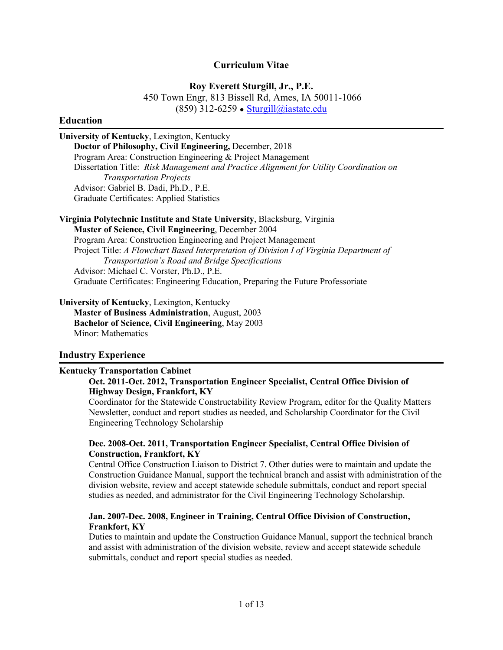#### **Curriculum Vitae**

**Roy Everett Sturgill, Jr., P.E.**

450 Town Engr, 813 Bissell Rd, Ames, IA 50011-1066 (859) 312-6259 • [Sturgill@iastate.edu](mailto:Sturgill@iastate.edu)

#### **Education**

**University of Kentucky**, Lexington, Kentucky **Doctor of Philosophy, Civil Engineering,** December, 2018 Program Area: Construction Engineering & Project Management Dissertation Title: *Risk Management and Practice Alignment for Utility Coordination on Transportation Projects* Advisor: Gabriel B. Dadi, Ph.D., P.E. Graduate Certificates: Applied Statistics

**Virginia Polytechnic Institute and State University**, Blacksburg, Virginia **Master of Science, Civil Engineering**, December 2004 Program Area: Construction Engineering and Project Management Project Title: *A Flowchart Based Interpretation of Division I of Virginia Department of Transportation's Road and Bridge Specifications* Advisor: Michael C. Vorster, Ph.D., P.E. Graduate Certificates: Engineering Education, Preparing the Future Professoriate

**University of Kentucky**, Lexington, Kentucky

**Master of Business Administration**, August, 2003 **Bachelor of Science, Civil Engineering**, May 2003 Minor: Mathematics

#### **Industry Experience**

#### **Kentucky Transportation Cabinet**

#### **Oct. 2011-Oct. 2012, Transportation Engineer Specialist, Central Office Division of Highway Design, Frankfort, KY**

Coordinator for the Statewide Constructability Review Program, editor for the Quality Matters Newsletter, conduct and report studies as needed, and Scholarship Coordinator for the Civil Engineering Technology Scholarship

#### **Dec. 2008-Oct. 2011, Transportation Engineer Specialist, Central Office Division of Construction, Frankfort, KY**

Central Office Construction Liaison to District 7. Other duties were to maintain and update the Construction Guidance Manual, support the technical branch and assist with administration of the division website, review and accept statewide schedule submittals, conduct and report special studies as needed, and administrator for the Civil Engineering Technology Scholarship.

### **Jan. 2007-Dec. 2008, Engineer in Training, Central Office Division of Construction, Frankfort, KY**

Duties to maintain and update the Construction Guidance Manual, support the technical branch and assist with administration of the division website, review and accept statewide schedule submittals, conduct and report special studies as needed.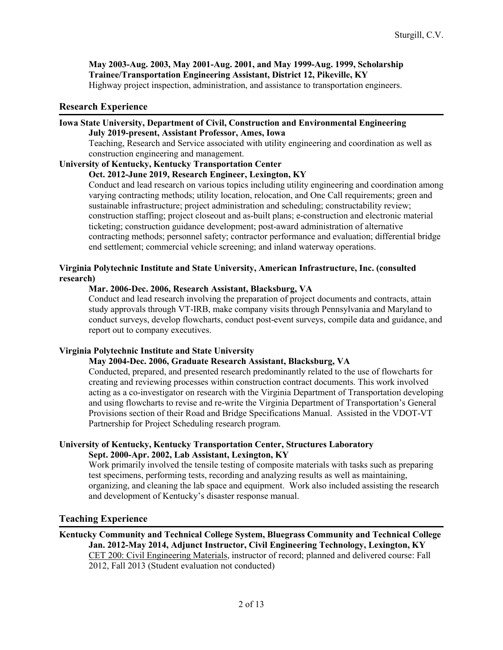**May 2003-Aug. 2003, May 2001-Aug. 2001, and May 1999-Aug. 1999, Scholarship Trainee/Transportation Engineering Assistant, District 12, Pikeville, KY** Highway project inspection, administration, and assistance to transportation engineers.

### **Research Experience**

#### **Iowa State University, Department of Civil, Construction and Environmental Engineering July 2019-present, Assistant Professor, Ames, Iowa**

Teaching, Research and Service associated with utility engineering and coordination as well as construction engineering and management.

## **University of Kentucky, Kentucky Transportation Center**

**Oct. 2012-June 2019, Research Engineer, Lexington, KY**

Conduct and lead research on various topics including utility engineering and coordination among varying contracting methods; utility location, relocation, and One Call requirements; green and sustainable infrastructure; project administration and scheduling; constructability review; construction staffing; project closeout and as-built plans; e-construction and electronic material ticketing; construction guidance development; post-award administration of alternative contracting methods; personnel safety; contractor performance and evaluation; differential bridge end settlement; commercial vehicle screening; and inland waterway operations.

### **Virginia Polytechnic Institute and State University, American Infrastructure, Inc. (consulted research)**

## **Mar. 2006-Dec. 2006, Research Assistant, Blacksburg, VA**

Conduct and lead research involving the preparation of project documents and contracts, attain study approvals through VT-IRB, make company visits through Pennsylvania and Maryland to conduct surveys, develop flowcharts, conduct post-event surveys, compile data and guidance, and report out to company executives.

### **Virginia Polytechnic Institute and State University**

## **May 2004-Dec. 2006, Graduate Research Assistant, Blacksburg, VA**

Conducted, prepared, and presented research predominantly related to the use of flowcharts for creating and reviewing processes within construction contract documents. This work involved acting as a co-investigator on research with the Virginia Department of Transportation developing and using flowcharts to revise and re-write the Virginia Department of Transportation's General Provisions section of their Road and Bridge Specifications Manual. Assisted in the VDOT-VT Partnership for Project Scheduling research program.

### **University of Kentucky, Kentucky Transportation Center, Structures Laboratory Sept. 2000-Apr. 2002, Lab Assistant, Lexington, KY**

Work primarily involved the tensile testing of composite materials with tasks such as preparing test specimens, performing tests, recording and analyzing results as well as maintaining, organizing, and cleaning the lab space and equipment. Work also included assisting the research and development of Kentucky's disaster response manual.

### **Teaching Experience**

### **Kentucky Community and Technical College System, Bluegrass Community and Technical College Jan. 2012-May 2014, Adjunct Instructor, Civil Engineering Technology, Lexington, KY** CET 200: Civil Engineering Materials, instructor of record; planned and delivered course: Fall 2012, Fall 2013 (Student evaluation not conducted)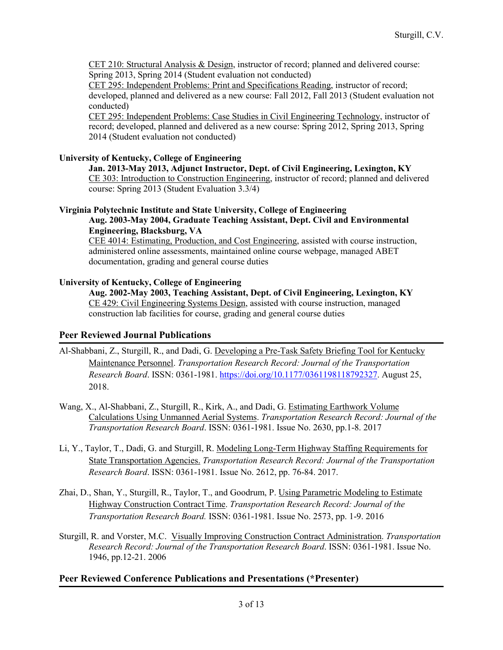CET 210: Structural Analysis & Design, instructor of record; planned and delivered course: Spring 2013, Spring 2014 (Student evaluation not conducted)

CET 295: Independent Problems: Print and Specifications Reading, instructor of record; developed, planned and delivered as a new course: Fall 2012, Fall 2013 (Student evaluation not conducted)

CET 295: Independent Problems: Case Studies in Civil Engineering Technology, instructor of record; developed, planned and delivered as a new course: Spring 2012, Spring 2013, Spring 2014 (Student evaluation not conducted)

## **University of Kentucky, College of Engineering**

**Jan. 2013-May 2013, Adjunct Instructor, Dept. of Civil Engineering, Lexington, KY** CE 303: Introduction to Construction Engineering, instructor of record; planned and delivered course: Spring 2013 (Student Evaluation 3.3/4)

### **Virginia Polytechnic Institute and State University, College of Engineering Aug. 2003-May 2004, Graduate Teaching Assistant, Dept. Civil and Environmental Engineering, Blacksburg, VA**

CEE 4014: Estimating, Production, and Cost Engineering, assisted with course instruction, administered online assessments, maintained online course webpage, managed ABET documentation, grading and general course duties

## **University of Kentucky, College of Engineering**

**Aug. 2002-May 2003, Teaching Assistant, Dept. of Civil Engineering, Lexington, KY** CE 429: Civil Engineering Systems Design, assisted with course instruction, managed construction lab facilities for course, grading and general course duties

## **Peer Reviewed Journal Publications**

- Al-Shabbani, Z., Sturgill, R., and Dadi, G. Developing a Pre-Task Safety Briefing Tool for Kentucky Maintenance Personnel. *Transportation Research Record: Journal of the Transportation Research Board*. ISSN: 0361-1981. [https://doi.org/10.1177/0361198118792327.](https://doi.org/10.1177/0361198118792327) August 25, 2018.
- Wang, X., Al-Shabbani, Z., Sturgill, R., Kirk, A., and Dadi, G. Estimating Earthwork Volume Calculations Using Unmanned Aerial Systems. *Transportation Research Record: Journal of the Transportation Research Board*. ISSN: 0361-1981. Issue No. 2630, pp.1-8. 2017
- Li, Y., Taylor, T., Dadi, G. and Sturgill, R. Modeling Long-Term Highway Staffing Requirements for State Transportation Agencies. *Transportation Research Record: Journal of the Transportation Research Board*. ISSN: 0361-1981. Issue No. 2612, pp. 76-84. 2017.
- Zhai, D., Shan, Y., Sturgill, R., Taylor, T., and Goodrum, P. Using Parametric Modeling to Estimate Highway Construction Contract Time. *Transportation Research Record: Journal of the Transportation Research Board.* ISSN: 0361-1981. Issue No. 2573, pp. 1-9. 2016
- Sturgill, R. and Vorster, M.C. Visually Improving Construction Contract Administration. *Transportation Research Record: Journal of the Transportation Research Board*. ISSN: 0361-1981. Issue No. 1946, pp.12-21. 2006

## **Peer Reviewed Conference Publications and Presentations (\*Presenter)**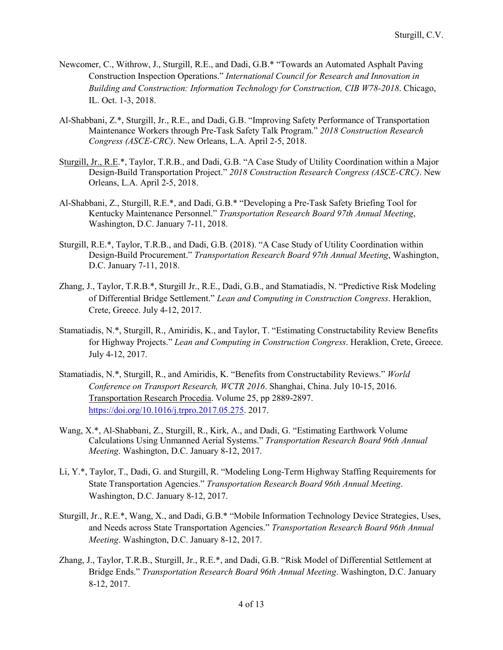- Newcomer, C., Withrow, J., Sturgill, R.E., and Dadi, G.B.\* "Towards an Automated Asphalt Paving Construction Inspection Operations." *International Council for Research and Innovation in Building and Construction: Information Technology for Construction, CIB W78-2018*. Chicago, IL. Oct. 1-3, 2018.
- Al-Shabbani, Z.\*, Sturgill, Jr., R.E., and Dadi, G.B. "Improving Safety Performance of Transportation Maintenance Workers through Pre-Task Safety Talk Program." *2018 Construction Research Congress (ASCE-CRC)*. New Orleans, L.A. April 2-5, 2018.
- Sturgill, Jr., R.E.\*, Taylor, T.R.B., and Dadi, G.B. "A Case Study of Utility Coordination within a Major Design-Build Transportation Project." *2018 Construction Research Congress (ASCE-CRC)*. New Orleans, L.A. April 2-5, 2018.
- Al-Shabbani, Z., Sturgill, R.E.\*, and Dadi, G.B.\* "Developing a Pre-Task Safety Briefing Tool for Kentucky Maintenance Personnel." *Transportation Research Board 97th Annual Meeting*, Washington, D.C. January 7-11, 2018.
- Sturgill, R.E.\*, Taylor, T.R.B., and Dadi, G.B. (2018). "A Case Study of Utility Coordination within Design-Build Procurement." *Transportation Research Board 97th Annual Meeting*, Washington, D.C. January 7-11, 2018.
- Zhang, J., Taylor, T.R.B.\*, Sturgill Jr., R.E., Dadi, G.B., and Stamatiadis, N. "Predictive Risk Modeling of Differential Bridge Settlement." *Lean and Computing in Construction Congress*. Heraklion, Crete, Greece. July 4-12, 2017.
- Stamatiadis, N.\*, Sturgill, R., Amiridis, K., and Taylor, T. "Estimating Constructability Review Benefits for Highway Projects." *Lean and Computing in Construction Congress*. Heraklion, Crete, Greece. July 4-12, 2017.
- Stamatiadis, N.\*, Sturgill, R., and Amiridis, K. "Benefits from Constructability Reviews." *World Conference on Transport Research, WCTR 2016*. Shanghai, China. July 10-15, 2016. Transportation Research Procedia. Volume 25, pp 2889-2897. [https://doi.org/10.1016/j.trpro.2017.05.275.](https://doi.org/10.1016/j.trpro.2017.05.275) 2017.
- Wang, X.\*, Al-Shabbani, Z., Sturgill, R., Kirk, A., and Dadi, G. "Estimating Earthwork Volume Calculations Using Unmanned Aerial Systems." *Transportation Research Board 96th Annual Meeting*. Washington, D.C. January 8-12, 2017.
- Li, Y.\*, Taylor, T., Dadi, G. and Sturgill, R. "Modeling Long-Term Highway Staffing Requirements for State Transportation Agencies." *Transportation Research Board 96th Annual Meeting*. Washington, D.C. January 8-12, 2017.
- Sturgill, Jr., R.E.\*, Wang, X., and Dadi, G.B.\* "Mobile Information Technology Device Strategies, Uses, and Needs across State Transportation Agencies." *Transportation Research Board 96th Annual Meeting*. Washington, D.C. January 8-12, 2017.
- Zhang, J., Taylor, T.R.B., Sturgill, Jr., R.E.\*, and Dadi, G.B. "Risk Model of Differential Settlement at Bridge Ends." *Transportation Research Board 96th Annual Meeting*. Washington, D.C. January 8-12, 2017.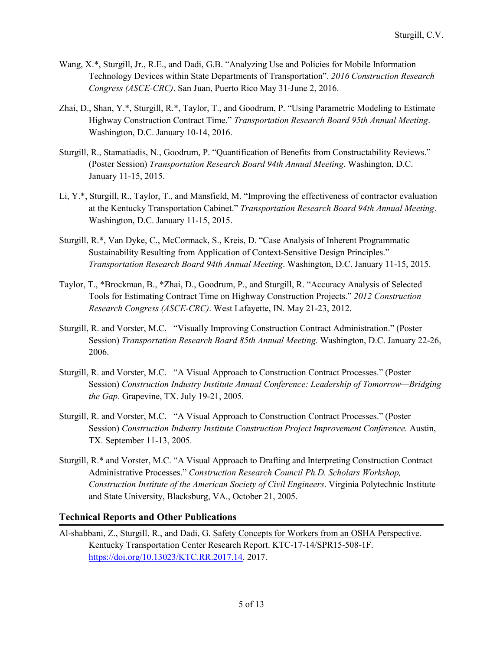- Wang, X.\*, Sturgill, Jr., R.E., and Dadi, G.B. "Analyzing Use and Policies for Mobile Information Technology Devices within State Departments of Transportation". *2016 Construction Research Congress (ASCE-CRC)*. San Juan, Puerto Rico May 31-June 2, 2016.
- Zhai, D., Shan, Y.\*, Sturgill, R.\*, Taylor, T., and Goodrum, P. "Using Parametric Modeling to Estimate Highway Construction Contract Time." *Transportation Research Board 95th Annual Meeting*. Washington, D.C. January 10-14, 2016.
- Sturgill, R., Stamatiadis, N., Goodrum, P. "Quantification of Benefits from Constructability Reviews." (Poster Session) *Transportation Research Board 94th Annual Meeting*. Washington, D.C. January 11-15, 2015.
- Li, Y.\*, Sturgill, R., Taylor, T., and Mansfield, M. "Improving the effectiveness of contractor evaluation at the Kentucky Transportation Cabinet." *Transportation Research Board 94th Annual Meeting*. Washington, D.C. January 11-15, 2015.
- Sturgill, R.\*, Van Dyke, C., McCormack, S., Kreis, D. "Case Analysis of Inherent Programmatic Sustainability Resulting from Application of Context-Sensitive Design Principles." *Transportation Research Board 94th Annual Meeting*. Washington, D.C. January 11-15, 2015.
- Taylor, T., \*Brockman, B., \*Zhai, D., Goodrum, P., and Sturgill, R. "Accuracy Analysis of Selected Tools for Estimating Contract Time on Highway Construction Projects." *2012 Construction Research Congress (ASCE-CRC)*. West Lafayette, IN. May 21-23, 2012.
- Sturgill, R. and Vorster, M.C. "Visually Improving Construction Contract Administration." (Poster Session) *Transportation Research Board 85th Annual Meeting*. Washington, D.C. January 22-26, 2006.
- Sturgill, R. and Vorster, M.C. "A Visual Approach to Construction Contract Processes." (Poster Session) *Construction Industry Institute Annual Conference: Leadership of Tomorrow—Bridging the Gap.* Grapevine, TX. July 19-21, 2005.
- Sturgill, R. and Vorster, M.C. "A Visual Approach to Construction Contract Processes." (Poster Session) *Construction Industry Institute Construction Project Improvement Conference.* Austin, TX. September 11-13, 2005.
- Sturgill, R.\* and Vorster, M.C. "A Visual Approach to Drafting and Interpreting Construction Contract Administrative Processes." *Construction Research Council Ph.D. Scholars Workshop, Construction Institute of the American Society of Civil Engineers*. Virginia Polytechnic Institute and State University, Blacksburg, VA., October 21, 2005.

# **Technical Reports and Other Publications**

Al-shabbani, Z., Sturgill, R., and Dadi, G. Safety Concepts for Workers from an OSHA Perspective. Kentucky Transportation Center Research Report. KTC-17-14/SPR15-508-1F. [https://doi.org/10.13023/KTC.RR.2017.14.](https://doi.org/10.13023/KTC.RR.2017.14) 2017.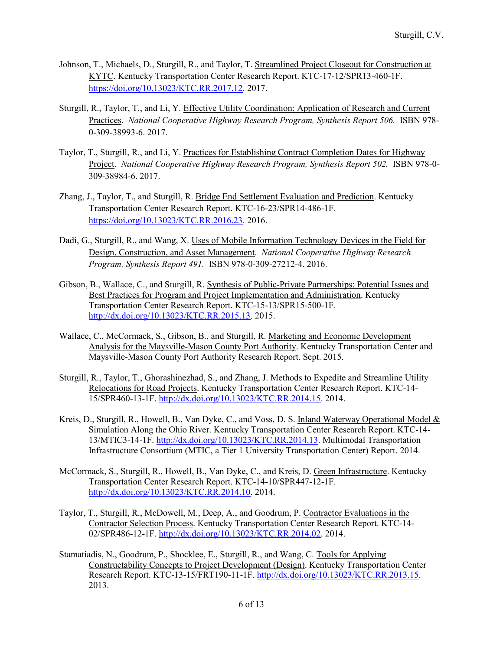- Johnson, T., Michaels, D., Sturgill, R., and Taylor, T. Streamlined Project Closeout for Construction at KYTC. Kentucky Transportation Center Research Report. KTC-17-12/SPR13-460-1F. [https://doi.org/10.13023/KTC.RR.2017.12.](https://doi.org/10.13023/KTC.RR.2017.12) 2017.
- Sturgill, R., Taylor, T., and Li, Y. Effective Utility Coordination: Application of Research and Current Practices. *National Cooperative Highway Research Program, Synthesis Report 506.* ISBN 978- 0-309-38993-6. 2017.
- Taylor, T., Sturgill, R., and Li, Y. Practices for Establishing Contract Completion Dates for Highway Project. *National Cooperative Highway Research Program, Synthesis Report 502.* ISBN 978-0- 309-38984-6. 2017.
- Zhang, J., Taylor, T., and Sturgill, R. Bridge End Settlement Evaluation and Prediction. Kentucky Transportation Center Research Report. KTC-16-23/SPR14-486-1F. [https://doi.org/10.13023/KTC.RR.2016.23.](https://doi.org/10.13023/KTC.RR.2016.23) 2016.
- Dadi, G., Sturgill, R., and Wang, X. Uses of Mobile Information Technology Devices in the Field for Design, Construction, and Asset Management. *National Cooperative Highway Research Program, Synthesis Report 491.* ISBN 978-0-309-27212-4. 2016.
- Gibson, B., Wallace, C., and Sturgill, R. Synthesis of Public-Private Partnerships: Potential Issues and Best Practices for Program and Project Implementation and Administration. Kentucky Transportation Center Research Report. KTC-15-13/SPR15-500-1F. [http://dx.doi.org/10.13023/KTC.RR.2015.13.](http://dx.doi.org/10.13023/KTC.RR.2015.13) 2015.
- Wallace, C., McCormack, S., Gibson, B., and Sturgill, R. Marketing and Economic Development Analysis for the Maysville-Mason County Port Authority. Kentucky Transportation Center and Maysville-Mason County Port Authority Research Report. Sept. 2015.
- Sturgill, R., Taylor, T., Ghorashinezhad, S., and Zhang, J. Methods to Expedite and Streamline Utility Relocations for Road Projects. Kentucky Transportation Center Research Report. KTC-14- 15/SPR460-13-1F. [http://dx.doi.org/10.13023/KTC.RR.2014.15.](http://dx.doi.org/10.13023/KTC.RR.2014.15) 2014.
- Kreis, D., Sturgill, R., Howell, B., Van Dyke, C., and Voss, D. S. Inland Waterway Operational Model & Simulation Along the Ohio River. Kentucky Transportation Center Research Report. KTC-14- 13/MTIC3-14-1F. [http://dx.doi.org/10.13023/KTC.RR.2014.13.](http://dx.doi.org/10.13023/KTC.RR.2014.13) Multimodal Transportation Infrastructure Consortium (MTIC, a Tier 1 University Transportation Center) Report. 2014.
- McCormack, S., Sturgill, R., Howell, B., Van Dyke, C., and Kreis, D. Green Infrastructure. Kentucky Transportation Center Research Report. KTC-14-10/SPR447-12-1F. [http://dx.doi.org/10.13023/KTC.RR.2014.10.](http://dx.doi.org/10.13023/KTC.RR.2014.10) 2014.
- Taylor, T., Sturgill, R., McDowell, M., Deep, A., and Goodrum, P. Contractor Evaluations in the Contractor Selection Process. Kentucky Transportation Center Research Report. KTC-14- 02/SPR486-12-1F. [http://dx.doi.org/10.13023/KTC.RR.2014.02.](http://dx.doi.org/10.13023/KTC.RR.2014.02) 2014.
- Stamatiadis, N., Goodrum, P., Shocklee, E., Sturgill, R., and Wang, C. Tools for Applying Constructability Concepts to Project Development (Design). Kentucky Transportation Center Research Report. KTC-13-15/FRT190-11-1F. [http://dx.doi.org/10.13023/KTC.RR.2013.15.](http://dx.doi.org/10.13023/KTC.RR.2013.15) 2013.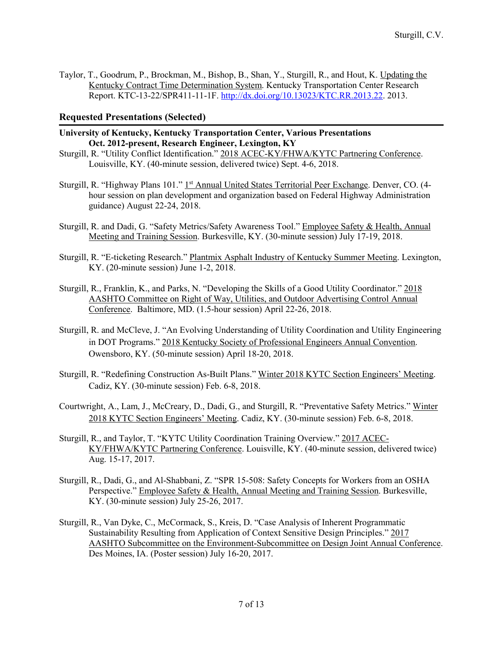Taylor, T., Goodrum, P., Brockman, M., Bishop, B., Shan, Y., Sturgill, R., and Hout, K. Updating the Kentucky Contract Time Determination System. Kentucky Transportation Center Research Report. KTC-13-22/SPR411-11-1F. [http://dx.doi.org/10.13023/KTC.RR.2013.22.](http://dx.doi.org/10.13023/KTC.RR.2013.22) 2013.

# **Requested Presentations (Selected)**

- **University of Kentucky, Kentucky Transportation Center, Various Presentations Oct. 2012-present, Research Engineer, Lexington, KY**
- Sturgill, R. "Utility Conflict Identification." 2018 ACEC-KY/FHWA/KYTC Partnering Conference. Louisville, KY. (40-minute session, delivered twice) Sept. 4-6, 2018.
- Sturgill, R. "Highway Plans 101." 1<sup>st</sup> Annual United States Territorial Peer Exchange. Denver, CO. (4hour session on plan development and organization based on Federal Highway Administration guidance) August 22-24, 2018.
- Sturgill, R. and Dadi, G. "Safety Metrics/Safety Awareness Tool." Employee Safety & Health, Annual Meeting and Training Session. Burkesville, KY. (30-minute session) July 17-19, 2018.
- Sturgill, R. "E-ticketing Research." Plantmix Asphalt Industry of Kentucky Summer Meeting. Lexington, KY. (20-minute session) June 1-2, 2018.
- Sturgill, R., Franklin, K., and Parks, N. "Developing the Skills of a Good Utility Coordinator." 2018 AASHTO Committee on Right of Way, Utilities, and Outdoor Advertising Control Annual Conference. Baltimore, MD. (1.5-hour session) April 22-26, 2018.
- Sturgill, R. and McCleve, J. "An Evolving Understanding of Utility Coordination and Utility Engineering in DOT Programs." 2018 Kentucky Society of Professional Engineers Annual Convention. Owensboro, KY. (50-minute session) April 18-20, 2018.
- Sturgill, R. "Redefining Construction As-Built Plans." Winter 2018 KYTC Section Engineers' Meeting. Cadiz, KY. (30-minute session) Feb. 6-8, 2018.
- Courtwright, A., Lam, J., McCreary, D., Dadi, G., and Sturgill, R. "Preventative Safety Metrics." Winter 2018 KYTC Section Engineers' Meeting. Cadiz, KY. (30-minute session) Feb. 6-8, 2018.
- Sturgill, R., and Taylor, T. "KYTC Utility Coordination Training Overview." 2017 ACEC-KY/FHWA/KYTC Partnering Conference. Louisville, KY. (40-minute session, delivered twice) Aug. 15-17, 2017.
- Sturgill, R., Dadi, G., and Al-Shabbani, Z. "SPR 15-508: Safety Concepts for Workers from an OSHA Perspective." Employee Safety & Health, Annual Meeting and Training Session. Burkesville, KY. (30-minute session) July 25-26, 2017.
- Sturgill, R., Van Dyke, C., McCormack, S., Kreis, D. "Case Analysis of Inherent Programmatic Sustainability Resulting from Application of Context Sensitive Design Principles." 2017 AASHTO Subcommittee on the Environment-Subcommittee on Design Joint Annual Conference. Des Moines, IA. (Poster session) July 16-20, 2017.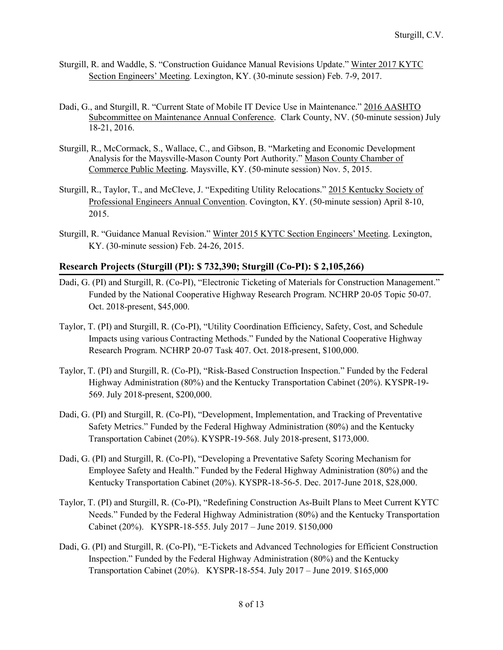- Sturgill, R. and Waddle, S. "Construction Guidance Manual Revisions Update." Winter 2017 KYTC Section Engineers' Meeting. Lexington, KY. (30-minute session) Feb. 7-9, 2017.
- Dadi, G., and Sturgill, R. "Current State of Mobile IT Device Use in Maintenance." 2016 AASHTO Subcommittee on Maintenance Annual Conference. Clark County, NV. (50-minute session) July 18-21, 2016.
- Sturgill, R., McCormack, S., Wallace, C., and Gibson, B. "Marketing and Economic Development Analysis for the Maysville-Mason County Port Authority." Mason County Chamber of Commerce Public Meeting. Maysville, KY. (50-minute session) Nov. 5, 2015.
- Sturgill, R., Taylor, T., and McCleve, J. "Expediting Utility Relocations." 2015 Kentucky Society of Professional Engineers Annual Convention. Covington, KY. (50-minute session) April 8-10, 2015.
- Sturgill, R. "Guidance Manual Revision." Winter 2015 KYTC Section Engineers' Meeting. Lexington, KY. (30-minute session) Feb. 24-26, 2015.

## **Research Projects (Sturgill (PI): \$ 732,390; Sturgill (Co-PI): \$ 2,105,266)**

- Dadi, G. (PI) and Sturgill, R. (Co-PI), "Electronic Ticketing of Materials for Construction Management." Funded by the National Cooperative Highway Research Program. NCHRP 20-05 Topic 50-07. Oct. 2018-present, \$45,000.
- Taylor, T. (PI) and Sturgill, R. (Co-PI), "Utility Coordination Efficiency, Safety, Cost, and Schedule Impacts using various Contracting Methods." Funded by the National Cooperative Highway Research Program. NCHRP 20-07 Task 407. Oct. 2018-present, \$100,000.
- Taylor, T. (PI) and Sturgill, R. (Co-PI), "Risk-Based Construction Inspection." Funded by the Federal Highway Administration (80%) and the Kentucky Transportation Cabinet (20%). KYSPR-19- 569. July 2018-present, \$200,000.
- Dadi, G. (PI) and Sturgill, R. (Co-PI), "Development, Implementation, and Tracking of Preventative Safety Metrics." Funded by the Federal Highway Administration (80%) and the Kentucky Transportation Cabinet (20%). KYSPR-19-568. July 2018-present, \$173,000.
- Dadi, G. (PI) and Sturgill, R. (Co-PI), "Developing a Preventative Safety Scoring Mechanism for Employee Safety and Health." Funded by the Federal Highway Administration (80%) and the Kentucky Transportation Cabinet (20%). KYSPR-18-56-5. Dec. 2017-June 2018, \$28,000.
- Taylor, T. (PI) and Sturgill, R. (Co-PI), "Redefining Construction As-Built Plans to Meet Current KYTC Needs." Funded by the Federal Highway Administration (80%) and the Kentucky Transportation Cabinet (20%). KYSPR-18-555. July 2017 – June 2019. \$150,000
- Dadi, G. (PI) and Sturgill, R. (Co-PI), "E-Tickets and Advanced Technologies for Efficient Construction Inspection." Funded by the Federal Highway Administration (80%) and the Kentucky Transportation Cabinet (20%). KYSPR-18-554. July 2017 – June 2019. \$165,000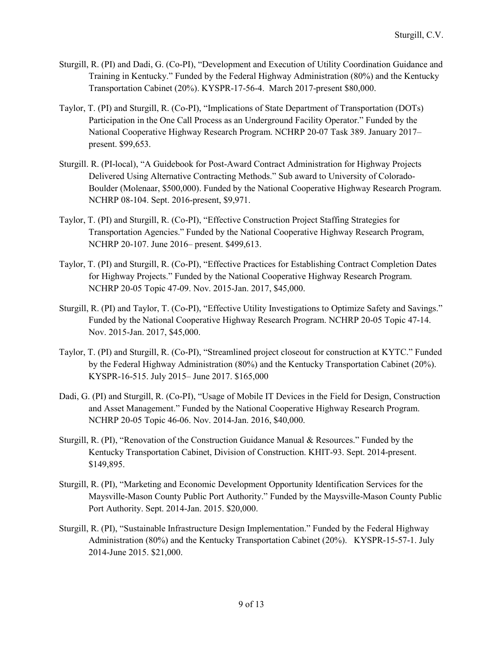- Sturgill, R. (PI) and Dadi, G. (Co-PI), "Development and Execution of Utility Coordination Guidance and Training in Kentucky." Funded by the Federal Highway Administration (80%) and the Kentucky Transportation Cabinet (20%). KYSPR-17-56-4. March 2017-present \$80,000.
- Taylor, T. (PI) and Sturgill, R. (Co-PI), "Implications of State Department of Transportation (DOTs) Participation in the One Call Process as an Underground Facility Operator." Funded by the National Cooperative Highway Research Program. NCHRP 20-07 Task 389. January 2017– present. \$99,653.
- Sturgill. R. (PI-local), "A Guidebook for Post-Award Contract Administration for Highway Projects Delivered Using Alternative Contracting Methods." Sub award to University of Colorado-Boulder (Molenaar, \$500,000). Funded by the National Cooperative Highway Research Program. NCHRP 08-104. Sept. 2016-present, \$9,971.
- Taylor, T. (PI) and Sturgill, R. (Co-PI), "Effective Construction Project Staffing Strategies for Transportation Agencies." Funded by the National Cooperative Highway Research Program, NCHRP 20-107. June 2016– present. \$499,613.
- Taylor, T. (PI) and Sturgill, R. (Co-PI), "Effective Practices for Establishing Contract Completion Dates for Highway Projects." Funded by the National Cooperative Highway Research Program. NCHRP 20-05 Topic 47-09. Nov. 2015-Jan. 2017, \$45,000.
- Sturgill, R. (PI) and Taylor, T. (Co-PI), "Effective Utility Investigations to Optimize Safety and Savings." Funded by the National Cooperative Highway Research Program. NCHRP 20-05 Topic 47-14. Nov. 2015-Jan. 2017, \$45,000.
- Taylor, T. (PI) and Sturgill, R. (Co-PI), "Streamlined project closeout for construction at KYTC." Funded by the Federal Highway Administration (80%) and the Kentucky Transportation Cabinet (20%). KYSPR-16-515. July 2015– June 2017. \$165,000
- Dadi, G. (PI) and Sturgill, R. (Co-PI), "Usage of Mobile IT Devices in the Field for Design, Construction and Asset Management." Funded by the National Cooperative Highway Research Program. NCHRP 20-05 Topic 46-06. Nov. 2014-Jan. 2016, \$40,000.
- Sturgill, R. (PI), "Renovation of the Construction Guidance Manual & Resources." Funded by the Kentucky Transportation Cabinet, Division of Construction. KHIT-93. Sept. 2014-present. \$149,895.
- Sturgill, R. (PI), "Marketing and Economic Development Opportunity Identification Services for the Maysville-Mason County Public Port Authority." Funded by the Maysville-Mason County Public Port Authority. Sept. 2014-Jan. 2015. \$20,000.
- Sturgill, R. (PI), "Sustainable Infrastructure Design Implementation." Funded by the Federal Highway Administration (80%) and the Kentucky Transportation Cabinet (20%). KYSPR-15-57-1. July 2014-June 2015. \$21,000.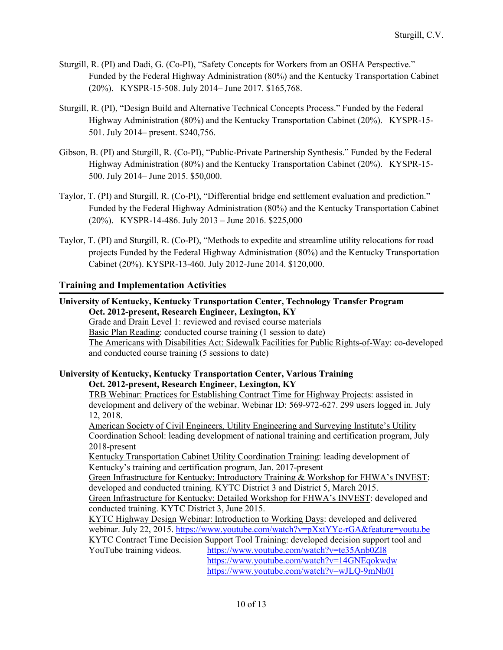- Sturgill, R. (PI) and Dadi, G. (Co-PI), "Safety Concepts for Workers from an OSHA Perspective." Funded by the Federal Highway Administration (80%) and the Kentucky Transportation Cabinet (20%). KYSPR-15-508. July 2014– June 2017. \$165,768.
- Sturgill, R. (PI), "Design Build and Alternative Technical Concepts Process." Funded by the Federal Highway Administration (80%) and the Kentucky Transportation Cabinet (20%). KYSPR-15- 501. July 2014– present. \$240,756.
- Gibson, B. (PI) and Sturgill, R. (Co-PI), "Public-Private Partnership Synthesis." Funded by the Federal Highway Administration (80%) and the Kentucky Transportation Cabinet (20%). KYSPR-15- 500. July 2014– June 2015. \$50,000.
- Taylor, T. (PI) and Sturgill, R. (Co-PI), "Differential bridge end settlement evaluation and prediction." Funded by the Federal Highway Administration (80%) and the Kentucky Transportation Cabinet (20%). KYSPR-14-486. July 2013 – June 2016. \$225,000
- Taylor, T. (PI) and Sturgill, R. (Co-PI), "Methods to expedite and streamline utility relocations for road projects Funded by the Federal Highway Administration (80%) and the Kentucky Transportation Cabinet (20%). KYSPR-13-460. July 2012-June 2014. \$120,000.

# **Training and Implementation Activities**

## **University of Kentucky, Kentucky Transportation Center, Technology Transfer Program Oct. 2012-present, Research Engineer, Lexington, KY**

Grade and Drain Level 1: reviewed and revised course materials Basic Plan Reading: conducted course training (1 session to date) The Americans with Disabilities Act: Sidewalk Facilities for Public Rights-of-Way: co-developed and conducted course training (5 sessions to date)

#### **University of Kentucky, Kentucky Transportation Center, Various Training Oct. 2012-present, Research Engineer, Lexington, KY**

TRB Webinar: Practices for Establishing Contract Time for Highway Projects: assisted in development and delivery of the webinar. Webinar ID: 569-972-627. 299 users logged in. July 12, 2018.

American Society of Civil Engineers, Utility Engineering and Surveying Institute's Utility Coordination School: leading development of national training and certification program, July 2018-present

Kentucky Transportation Cabinet Utility Coordination Training: leading development of Kentucky's training and certification program, Jan. 2017-present

Green Infrastructure for Kentucky: Introductory Training & Workshop for FHWA's INVEST: developed and conducted training. KYTC District 3 and District 5, March 2015.

Green Infrastructure for Kentucky: Detailed Workshop for FHWA's INVEST: developed and conducted training. KYTC District 3, June 2015.

KYTC Highway Design Webinar: Introduction to Working Days: developed and delivered webinar. July 22, 2015.<https://www.youtube.com/watch?v=pXxtYYc-rGA&feature=youtu.be> KYTC Contract Time Decision Support Tool Training: developed decision support tool and

YouTube training videos. <https://www.youtube.com/watch?v=te35Anb0Zl8> <https://www.youtube.com/watch?v=14GNEqokwdw> <https://www.youtube.com/watch?v=wJLQ-9mNh0I>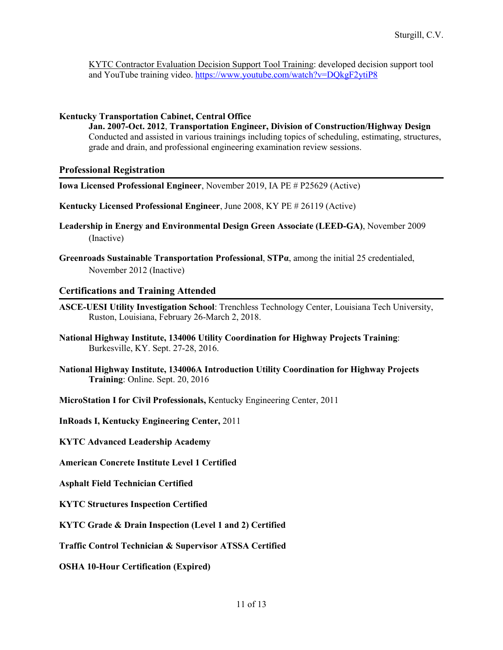KYTC Contractor Evaluation Decision Support Tool Training: developed decision support tool and YouTube training video.<https://www.youtube.com/watch?v=DQkgF2ytiP8>

### **Kentucky Transportation Cabinet, Central Office**

**Jan. 2007-Oct. 2012**, **Transportation Engineer, Division of Construction/Highway Design** Conducted and assisted in various trainings including topics of scheduling, estimating, structures, grade and drain, and professional engineering examination review sessions.

## **Professional Registration**

- **Iowa Licensed Professional Engineer**, November 2019, IA PE # P25629 (Active)
- **Kentucky Licensed Professional Engineer**, June 2008, KY PE # 26119 (Active)
- **Leadership in Energy and Environmental Design Green Associate (LEED-GA)**, November 2009 (Inactive)
- **Greenroads Sustainable Transportation Professional**, **STPα**, among the initial 25 credentialed, November 2012 (Inactive)

## **Certifications and Training Attended**

- **ASCE-UESI Utility Investigation School**: Trenchless Technology Center, Louisiana Tech University, Ruston, Louisiana, February 26-March 2, 2018.
- **National Highway Institute, 134006 Utility Coordination for Highway Projects Training**: Burkesville, KY. Sept. 27-28, 2016.
- **National Highway Institute, 134006A Introduction Utility Coordination for Highway Projects Training**: Online. Sept. 20, 2016
- **MicroStation I for Civil Professionals,** Kentucky Engineering Center, 2011

**InRoads I, Kentucky Engineering Center,** 2011

**KYTC Advanced Leadership Academy**

**American Concrete Institute Level 1 Certified**

**Asphalt Field Technician Certified**

**KYTC Structures Inspection Certified**

**KYTC Grade & Drain Inspection (Level 1 and 2) Certified**

**Traffic Control Technician & Supervisor ATSSA Certified**

**OSHA 10-Hour Certification (Expired)**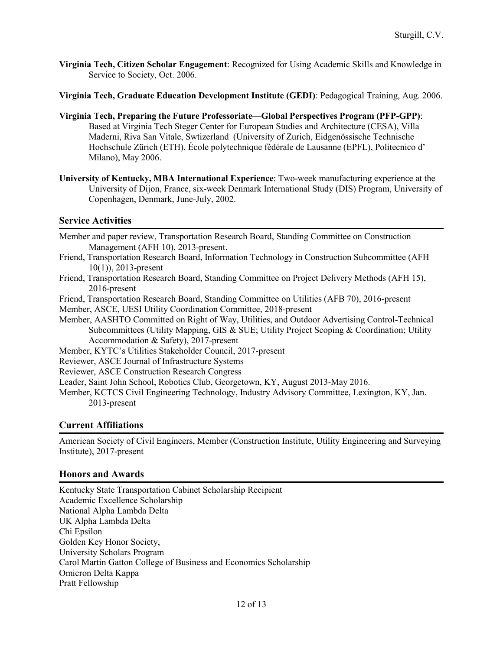- **Virginia Tech, Citizen Scholar Engagement**: Recognized for Using Academic Skills and Knowledge in Service to Society, Oct. 2006.
- **Virginia Tech, Graduate Education Development Institute (GEDI)**: Pedagogical Training, Aug. 2006.
- **Virginia Tech, Preparing the Future Professoriate—Global Perspectives Program (PFP-GPP)**: Based at Virginia Tech Steger Center for European Studies and Architecture (CESA), Villa Maderni, Riva San Vitale, Swtizerland (University of Zurich, Eidgenössische Technische Hochschule Zürich (ETH), École polytechnique fédérale de Lausanne (EPFL), Politecnico d' Milano), May 2006.
- **University of Kentucky, MBA International Experience**: Two-week manufacturing experience at the University of Dijon, France, six-week Denmark International Study (DIS) Program, University of Copenhagen, Denmark, June-July, 2002.

## **Service Activities**

Member and paper review, Transportation Research Board, Standing Committee on Construction Management (AFH 10), 2013-present.

- Friend, Transportation Research Board, Information Technology in Construction Subcommittee (AFH 10(1)), 2013-present
- Friend, Transportation Research Board, Standing Committee on Project Delivery Methods (AFH 15), 2016-present

Friend, Transportation Research Board, Standing Committee on Utilities (AFB 70), 2016-present

Member, ASCE, UESI Utility Coordination Committee, 2018-present

Member, AASHTO Committed on Right of Way, Utilities, and Outdoor Advertising Control-Technical Subcommittees (Utility Mapping, GIS & SUE; Utility Project Scoping & Coordination; Utility Accommodation & Safety), 2017-present

Member, KYTC's Utilities Stakeholder Council, 2017-present

Reviewer, ASCE Journal of Infrastructure Systems

Reviewer, ASCE Construction Research Congress

Leader, Saint John School, Robotics Club, Georgetown, KY, August 2013-May 2016.

Member, KCTCS Civil Engineering Technology, Industry Advisory Committee, Lexington, KY, Jan. 2013-present

# **Current Affiliations**

American Society of Civil Engineers, Member (Construction Institute, Utility Engineering and Surveying Institute), 2017-present

# **Honors and Awards**

Kentucky State Transportation Cabinet Scholarship Recipient Academic Excellence Scholarship National Alpha Lambda Delta UK Alpha Lambda Delta Chi Epsilon Golden Key Honor Society, University Scholars Program Carol Martin Gatton College of Business and Economics Scholarship Omicron Delta Kappa Pratt Fellowship